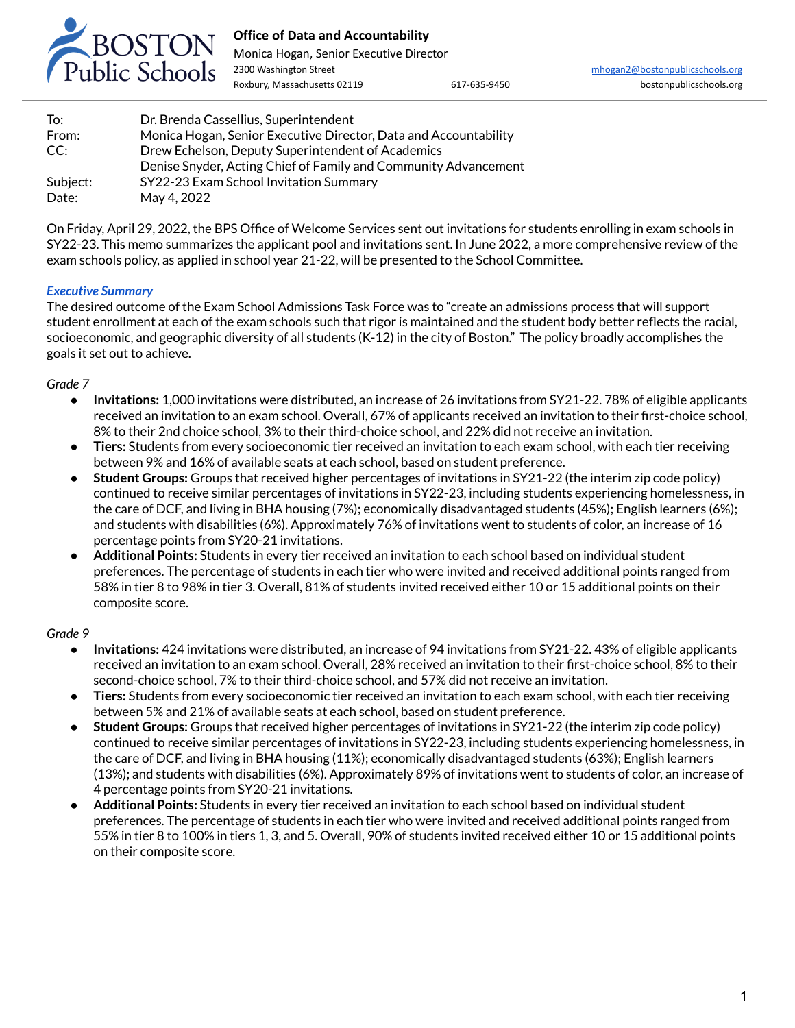

# **Office of Data and Accountability**

Monica Hogan, Senior Executive Director 2300 Washington Street [mhogan2@bostonpublicschools.org](mailto:mhogan2@bostonpublicschools.org)

| To:      | Dr. Brenda Cassellius, Superintendent                            |
|----------|------------------------------------------------------------------|
| From:    | Monica Hogan, Senior Executive Director, Data and Accountability |
| CC:      | Drew Echelson, Deputy Superintendent of Academics                |
|          | Denise Snyder, Acting Chief of Family and Community Advancement  |
| Subject: | SY22-23 Exam School Invitation Summary                           |
| Date:    | May 4, 2022                                                      |

On Friday, April 29, 2022, the BPS Office of Welcome Services sent out invitations for students enrolling in exam schools in SY22-23. This memo summarizes the applicant pool and invitations sent. In June 2022, a more comprehensive review of the exam schools policy, as applied in school year 21-22, will be presented to the School Committee.

# *Executive Summary*

The desired outcome of the Exam School Admissions Task Force was to "create an admissions process that will support student enrollment at each of the exam schools such that rigor is maintained and the student body better reflects the racial, socioeconomic, and geographic diversity of all students (K-12) in the city of Boston." The policy broadly accomplishes the goals it set out to achieve.

## *Grade 7*

- **Invitations:** 1,000 invitations were distributed, an increase of 26 invitations from SY21-22. 78% of eligible applicants received an invitation to an exam school. Overall, 67% of applicants received an invitation to their first-choice school, 8% to their 2nd choice school, 3% to their third-choice school, and 22% did not receive an invitation.
- **Tiers:** Students from every socioeconomic tier received an invitation to each exam school, with each tier receiving between 9% and 16% of available seats at each school, based on student preference.
- **Student Groups:** Groups that received higher percentages of invitations in SY21-22 (the interim zip code policy) continued to receive similar percentages of invitations in SY22-23, including students experiencing homelessness, in the care of DCF, and living in BHA housing (7%); economically disadvantaged students (45%); English learners (6%); and students with disabilities (6%). Approximately 76% of invitations went to students of color, an increase of 16 percentage points from SY20-21 invitations.
- **Additional Points:** Students in every tier received an invitation to each school based on individual student preferences. The percentage of students in each tier who were invited and received additional points ranged from 58% in tier 8 to 98% in tier 3. Overall, 81% of students invited received either 10 or 15 additional points on their composite score.

## *Grade 9*

- **Invitations:** 424 invitations were distributed, an increase of 94 invitations from SY21-22. 43% of eligible applicants received an invitation to an exam school. Overall, 28% received an invitation to their first-choice school, 8% to their second-choice school, 7% to their third-choice school, and 57% did not receive an invitation.
- **Tiers:** Students from every socioeconomic tier received an invitation to each exam school, with each tier receiving between 5% and 21% of available seats at each school, based on student preference.
- **Student Groups:** Groups that received higher percentages of invitations in SY21-22 (the interim zip code policy) continued to receive similar percentages of invitations in SY22-23, including students experiencing homelessness, in the care of DCF, and living in BHA housing (11%); economically disadvantaged students (63%); English learners (13%); and students with disabilities (6%). Approximately 89% of invitations went to students of color, an increase of 4 percentage points from SY20-21 invitations.
- **Additional Points:** Students in every tier received an invitation to each school based on individual student preferences. The percentage of students in each tier who were invited and received additional points ranged from 55% in tier 8 to 100% in tiers 1, 3, and 5. Overall, 90% of students invited received either 10 or 15 additional points on their composite score.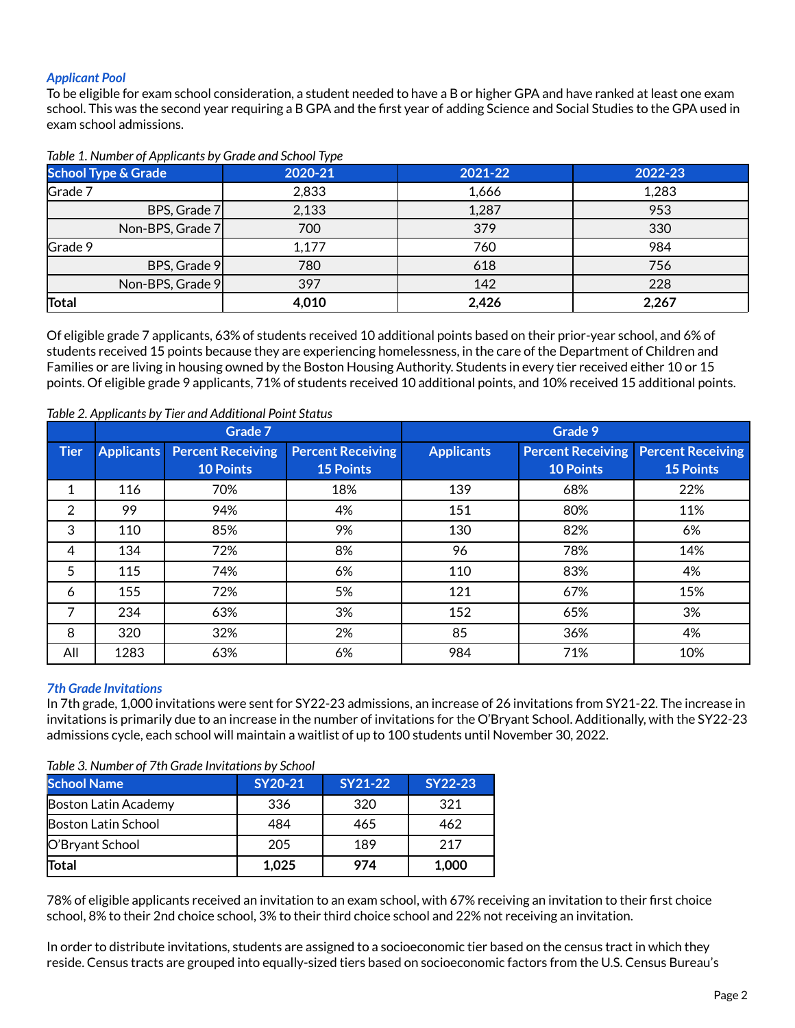# *Applicant Pool*

To be eligible for exam school consideration, a student needed to have a B or higher GPA and have ranked at least one exam school. This was the second year requiring a B GPA and the first year of adding Science and Social Studies to the GPA used in exam school admissions.

| <b>School Type &amp; Grade</b> | 2020-21 | 2021-22 | 2022-23 |
|--------------------------------|---------|---------|---------|
| Grade 7                        | 2,833   | 1,666   | 1,283   |
| BPS, Grade 7                   | 2,133   | 1,287   | 953     |
| Non-BPS, Grade 7               | 700     | 379     | 330     |
| Grade 9                        | 1,177   | 760     | 984     |
| BPS, Grade 9                   | 780     | 618     | 756     |
| Non-BPS, Grade 9               | 397     | 142     | 228     |
| Total                          | 4,010   | 2,426   | 2,267   |

#### *Table 1. Number of Applicants by Grade and School Type*

Of eligible grade 7 applicants, 63% of students received 10 additional points based on their prior-year school, and 6% of students received 15 points because they are experiencing homelessness, in the care of the Department of Children and Families or are living in housing owned by the Boston Housing Authority. Students in every tier received either 10 or 15 points. Of eligible grade 9 applicants, 71% of students received 10 additional points, and 10% received 15 additional points.

|             |                   | Grade 7                  |                          |                   | Grade 9                  |                          |  |  |
|-------------|-------------------|--------------------------|--------------------------|-------------------|--------------------------|--------------------------|--|--|
| <b>Tier</b> | <b>Applicants</b> | <b>Percent Receiving</b> | <b>Percent Receiving</b> | <b>Applicants</b> | <b>Percent Receiving</b> | <b>Percent Receiving</b> |  |  |
|             |                   | <b>10 Points</b>         | <b>15 Points</b>         |                   | <b>10 Points</b>         | <b>15 Points</b>         |  |  |
| 1           | 116               | 70%                      | 18%                      | 139               | 68%                      | 22%                      |  |  |
| 2           | 99                | 94%                      | 4%                       | 151               | 80%                      | 11%                      |  |  |
| 3           | 110               | 85%                      | 9%                       | 130               | 82%                      | 6%                       |  |  |
| 4           | 134               | 72%                      | 8%                       | 96                | 78%                      | 14%                      |  |  |
| 5           | 115               | 74%                      | 6%                       | 110               | 83%                      | 4%                       |  |  |
| 6           | 155               | 72%                      | 5%                       | 121               | 67%                      | 15%                      |  |  |
| 7           | 234               | 63%                      | 3%                       | 152               | 65%                      | 3%                       |  |  |
| 8           | 320               | 32%                      | 2%                       | 85                | 36%                      | 4%                       |  |  |
| All         | 1283              | 63%                      | 6%                       | 984               | 71%                      | 10%                      |  |  |

#### *Table 2. Applicants by Tier and Additional Point Status*

## *7th Grade Invitations*

In 7th grade, 1,000 invitations were sent for SY22-23 admissions, an increase of 26 invitations from SY21-22. The increase in invitations is primarily due to an increase in the number of invitations for the O'Bryant School. Additionally, with the SY22-23 admissions cycle, each school will maintain a waitlist of up to 100 students until November 30, 2022.

| <b>School Name</b>   | SY20-21 | <b>SY21-22</b> | <b>SY22-23</b> |
|----------------------|---------|----------------|----------------|
| Boston Latin Academy | 336     | 320            | 321            |
| Boston Latin School  | 484     | 465            | 462            |
| O'Bryant School      | 205     | 189            | 217            |
| Total                | 1,025   | 974            | 1,000          |

*Table 3. Number of 7th Grade Invitations by School*

78% of eligible applicants received an invitation to an exam school, with 67% receiving an invitation to their first choice school, 8% to their 2nd choice school, 3% to their third choice school and 22% not receiving an invitation.

In order to distribute invitations, students are assigned to a socioeconomic tier based on the census tract in which they reside. Census tracts are grouped into equally-sized tiers based on socioeconomic factors from the U.S. Census Bureau's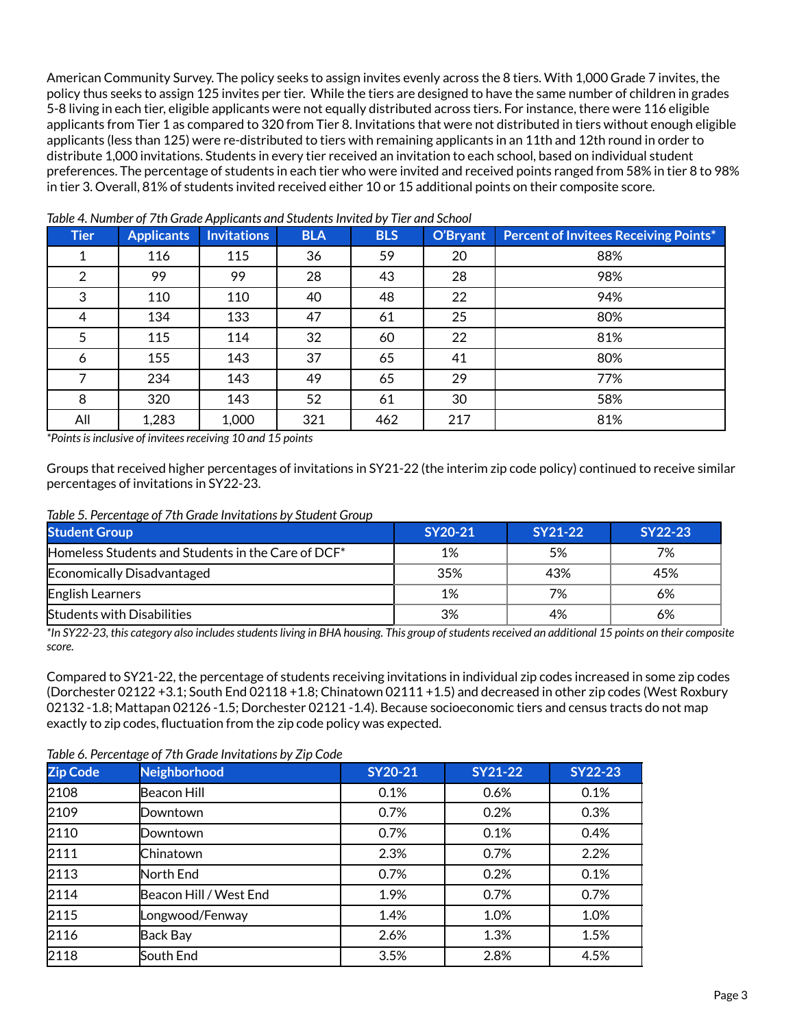American Community Survey. The policy seeks to assign invites evenly across the 8 tiers. With 1,000 Grade 7 invites, the policy thus seeks to assign 125 invites per tier. While the tiers are designed to have the same number of children in grades 5-8 living in each tier, eligible applicants were not equally distributed across tiers. For instance, there were 116 eligible applicants from Tier 1 as compared to 320 from Tier 8. Invitations that were not distributed in tiers without enough eligible applicants (less than 125) were re-distributed to tiers with remaining applicants in an 11th and 12th round in order to distribute 1,000 invitations. Students in every tier received an invitation to each school, based on individual student preferences. The percentage of students in each tier who were invited and received points ranged from 58% in tier 8 to 98% in tier 3. Overall, 81% of students invited received either 10 or 15 additional points on their composite score.

| <b>Tier</b> | <b>Applicants</b> | <b>Invitations</b> | <b>BLA</b> | <b>BLS</b> | O'Bryant | <b>Percent of Invitees Receiving Points*</b> |
|-------------|-------------------|--------------------|------------|------------|----------|----------------------------------------------|
|             | 116               | 115                | 36         | 59         | 20       | 88%                                          |
| 2           | 99                | 99                 | 28         | 43         | 28       | 98%                                          |
| 3           | 110               | 110                | 40         | 48         | 22       | 94%                                          |
| 4           | 134               | 133                | 47         | 61         | 25       | 80%                                          |
| 5           | 115               | 114                | 32         | 60         | 22       | 81%                                          |
| 6           | 155               | 143                | 37         | 65         | 41       | 80%                                          |
|             | 234               | 143                | 49         | 65         | 29       | 77%                                          |
| 8           | 320               | 143                | 52         | 61         | 30       | 58%                                          |
| All         | 1,283             | 1,000              | 321        | 462        | 217      | 81%                                          |

*Table 4. Number of 7th Grade Applicants and StudentsInvited by Tier and School*

*\*Pointsisinclusive of inviteesreceiving 10 and 15 points*

Groups that received higher percentages of invitations in SY21-22 (the interim zip code policy) continued to receive similar percentages of invitations in SY22-23.

#### *Table 5. Percentage of 7th Grade Invitations by Student Group*

| <b>Student Group</b>                                           | SY20-21 | SY21-22 | SY22-23 |
|----------------------------------------------------------------|---------|---------|---------|
| Homeless Students and Students in the Care of DCF <sup>*</sup> | 1%      | 5%      | 7%      |
| Economically Disadvantaged                                     | 35%     | 43%     | 45%     |
| English Learners                                               | 1%      | 7%      | 6%      |
| <b>Students with Disabilities</b>                              | 3%      | 4%      | 6%      |

\*In SY22-23, this category also includes students living in BHA housing. This group of students received an additional 15 points on their composite *score.*

Compared to SY21-22, the percentage of students receiving invitations in individual zip codes increased in some zip codes (Dorchester 02122 +3.1; South End 02118 +1.8; Chinatown 02111 +1.5) and decreased in other zip codes (West Roxbury 02132 -1.8; Mattapan 02126 -1.5; Dorchester 02121 -1.4). Because socioeconomic tiers and census tracts do not map exactly to zip codes, fluctuation from the zip code policy was expected.

*Table 6. Percentage of 7th Grade Invitations by Zip Code*

| <b>Zip Code</b> | <b>Neighborhood</b>    | <b>SY20-21</b> | <b>SY21-22</b> | <b>SY22-23</b> |
|-----------------|------------------------|----------------|----------------|----------------|
| 2108            | Beacon Hill            | 0.1%           | 0.6%           | 0.1%           |
| 2109            | Downtown               | 0.7%           | 0.2%           | 0.3%           |
| 2110            | Downtown               | 0.7%           | 0.1%           | 0.4%           |
| 2111            | Chinatown              | 2.3%           | 0.7%           | 2.2%           |
| 2113            | North End              | 0.7%           | 0.2%           | 0.1%           |
| 2114            | Beacon Hill / West End | 1.9%           | 0.7%           | 0.7%           |
| 2115            | Longwood/Fenway        | 1.4%           | 1.0%           | 1.0%           |
| 2116            | Back Bay               | 2.6%           | 1.3%           | 1.5%           |
| 2118            | South End              | 3.5%           | 2.8%           | 4.5%           |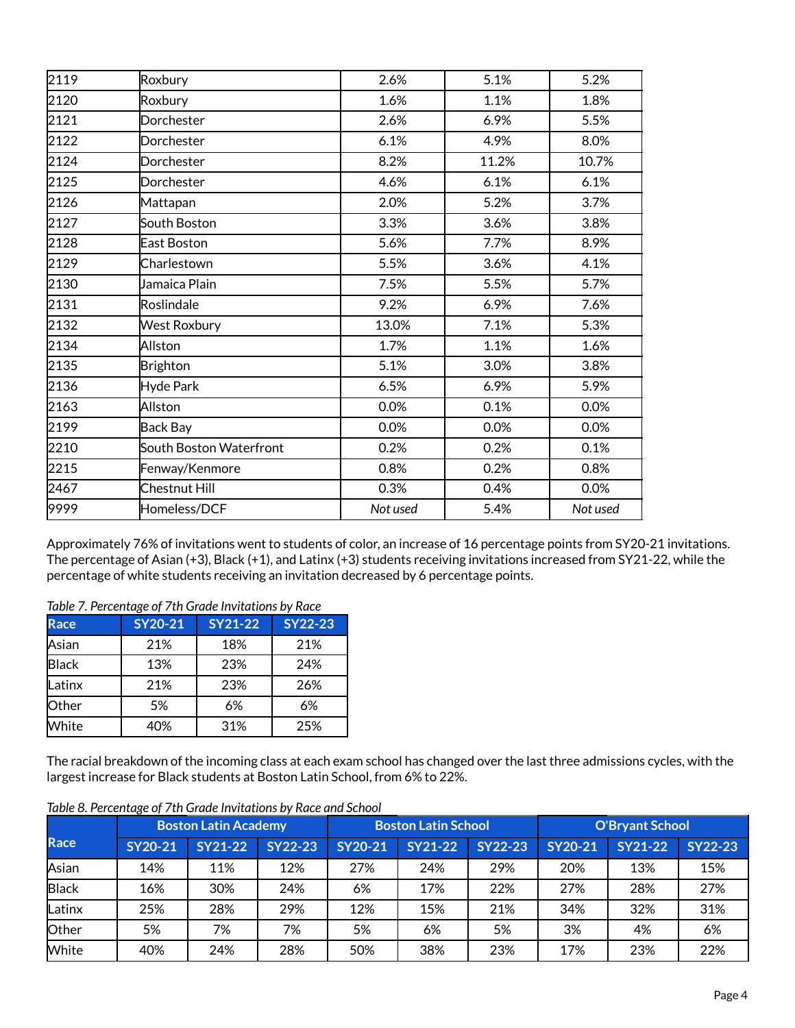| 2119 | Roxbury                 | 2.6%     | 5.1%  | 5.2%     |
|------|-------------------------|----------|-------|----------|
| 2120 | Roxbury                 | 1.6%     | 1.1%  | 1.8%     |
| 2121 | Dorchester              | 2.6%     | 6.9%  | 5.5%     |
| 2122 | Dorchester              | 6.1%     | 4.9%  | 8.0%     |
| 2124 | Dorchester              | 8.2%     | 11.2% | 10.7%    |
| 2125 | Dorchester              | 4.6%     | 6.1%  | 6.1%     |
| 2126 | Mattapan                | 2.0%     | 5.2%  | 3.7%     |
| 2127 | South Boston            | 3.3%     | 3.6%  | 3.8%     |
| 2128 | East Boston             | 5.6%     | 7.7%  | 8.9%     |
| 2129 | Charlestown             | 5.5%     | 3.6%  | 4.1%     |
| 2130 | Jamaica Plain           | 7.5%     | 5.5%  | 5.7%     |
| 2131 | Roslindale              | 9.2%     | 6.9%  | 7.6%     |
| 2132 | <b>West Roxbury</b>     | 13.0%    | 7.1%  | 5.3%     |
| 2134 | Allston                 | 1.7%     | 1.1%  | 1.6%     |
| 2135 | <b>Brighton</b>         | 5.1%     | 3.0%  | 3.8%     |
| 2136 | Hyde Park               | 6.5%     | 6.9%  | 5.9%     |
| 2163 | Allston                 | 0.0%     | 0.1%  | 0.0%     |
| 2199 | Back Bay                | 0.0%     | 0.0%  | 0.0%     |
| 2210 | South Boston Waterfront | 0.2%     | 0.2%  | 0.1%     |
| 2215 | Fenway/Kenmore          | 0.8%     | 0.2%  | 0.8%     |
| 2467 | Chestnut Hill           | 0.3%     | 0.4%  | 0.0%     |
| 9999 | Homeless/DCF            | Not used | 5.4%  | Not used |
|      |                         |          |       |          |

Approximately 76% of invitations went to students of color, an increase of 16 percentage points from SY20-21 invitations. The percentage of Asian (+3), Black (+1), and Latinx (+3) students receiving invitations increased from SY21-22, while the percentage of white students receiving an invitation decreased by 6 percentage points.

#### *Table 7. Percentage of 7th Grade Invitations by Race*

| <b>Race</b>  | SY20-21 | <b>SY21-22</b> | SY22-23 |
|--------------|---------|----------------|---------|
| Asian        | 21%     | 18%            | 21%     |
| <b>Black</b> | 13%     | 23%            | 24%     |
| Latinx       | 21%     | 23%            | 26%     |
| Other        | 5%      | 6%             | 6%      |
| White        | 40%     | 31%            | 25%     |

The racial breakdown of the incoming class at each exam school has changed over the last three admissions cycles, with the largest increase for Black students at Boston Latin School, from 6% to 22%.

|              | <b>Boston Latin Academy</b> |         |                | <b>Boston Latin School</b> |                |                | <b>O'Bryant School</b> |                |                |
|--------------|-----------------------------|---------|----------------|----------------------------|----------------|----------------|------------------------|----------------|----------------|
| Race         | SY20-21                     | SY21-22 | <b>SY22-23</b> | SY20-21                    | <b>SY21-22</b> | <b>SY22-23</b> | SY20-21                | <b>SY21-22</b> | <b>SY22-23</b> |
| Asian        | 14%                         | 11%     | 12%            | 27%                        | 24%            | 29%            | 20%                    | 13%            | 15%            |
| <b>Black</b> | 16%                         | 30%     | 24%            | 6%                         | 17%            | 22%            | 27%                    | 28%            | 27%            |
| Latinx       | 25%                         | 28%     | 29%            | 12%                        | 15%            | 21%            | 34%                    | 32%            | 31%            |
| Other        | 5%                          | 7%      | 7%             | 5%                         | 6%             | 5%             | 3%                     | 4%             | 6%             |
| White        | 40%                         | 24%     | 28%            | 50%                        | 38%            | 23%            | 17%                    | 23%            | 22%            |

# *Table 8. Percentage of 7th Grade Invitations by Race and School*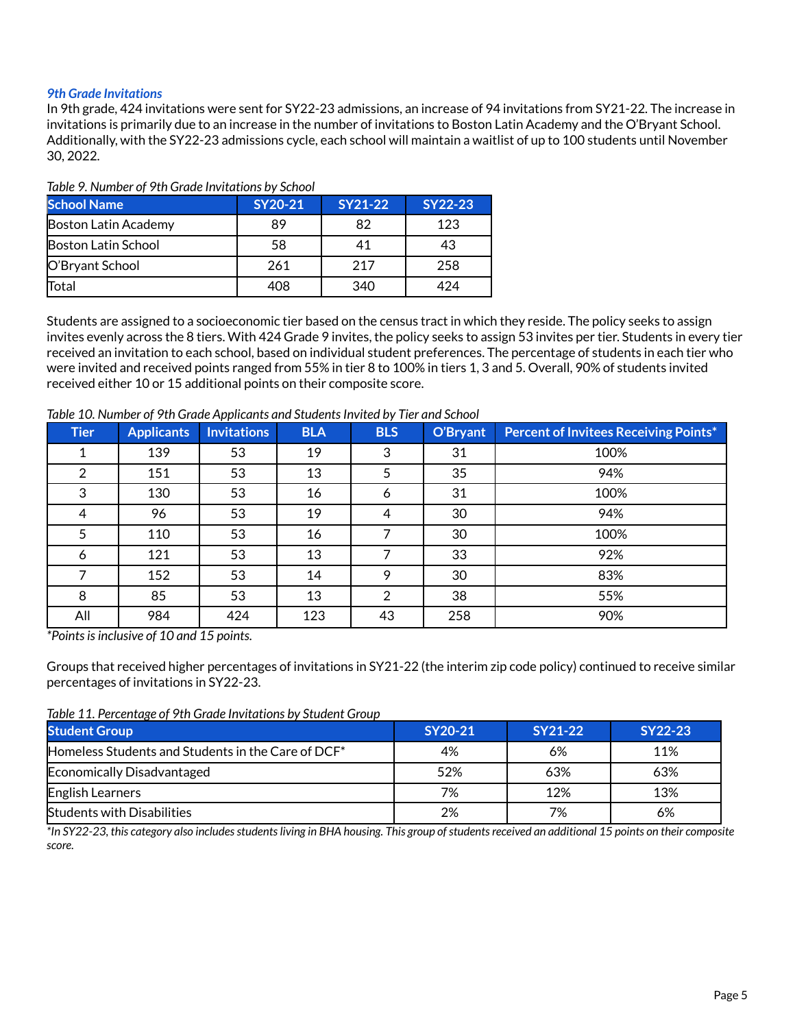## *9th Grade Invitations*

In 9th grade, 424 invitations were sent for SY22-23 admissions, an increase of 94 invitations from SY21-22. The increase in invitations is primarily due to an increase in the number of invitations to Boston Latin Academy and the O'Bryant School. Additionally, with the SY22-23 admissions cycle, each school will maintain a waitlist of up to 100 students until November 30, 2022.

| <b>School Name</b>   | SY20-21 | SY21-22 | SY22-23 |  |  |  |  |
|----------------------|---------|---------|---------|--|--|--|--|
| Boston Latin Academy | 89      | 82      | 123     |  |  |  |  |
| Boston Latin School  | 58      | 41      | 43      |  |  |  |  |
| O'Bryant School      | 261     | 217     | 258     |  |  |  |  |
| Total                | 408     | 340     | 474     |  |  |  |  |

#### *Table 9. Number of 9th Grade Invitations by School*

Students are assigned to a socioeconomic tier based on the census tract in which they reside. The policy seeks to assign invites evenly across the 8 tiers. With 424 Grade 9 invites, the policy seeks to assign 53 invites per tier. Students in every tier received an invitation to each school, based on individual student preferences. The percentage of students in each tier who were invited and received points ranged from 55% in tier 8 to 100% in tiers 1, 3 and 5. Overall, 90% of students invited received either 10 or 15 additional points on their composite score.

*Table 10. Number of 9th Grade Applicants and StudentsInvited by Tier and School*

| <b>Tier</b>   | <b>Applicants</b> | <b>Invitations</b> | <b>BLA</b> | <b>BLS</b> | O'Bryant | <b>Percent of Invitees Receiving Points*</b> |
|---------------|-------------------|--------------------|------------|------------|----------|----------------------------------------------|
|               | 139               | 53                 | 19         | 3          | 31       | 100%                                         |
| $\mathcal{P}$ | 151               | 53                 | 13         | 5          | 35       | 94%                                          |
| 3             | 130               | 53                 | 16         | 6          | 31       | 100%                                         |
| 4             | 96                | 53                 | 19         | 4          | 30       | 94%                                          |
| 5             | 110               | 53                 | 16         |            | 30       | 100%                                         |
| 6             | 121               | 53                 | 13         |            | 33       | 92%                                          |
|               | 152               | 53                 | 14         | 9          | 30       | 83%                                          |
| 8             | 85                | 53                 | 13         | 2          | 38       | 55%                                          |
| All           | 984               | 424                | 123        | 43         | 258      | 90%                                          |

*\*Pointsisinclusive of 10 and 15 points.*

Groups that received higher percentages of invitations in SY21-22 (the interim zip code policy) continued to receive similar percentages of invitations in SY22-23.

*Table 11. Percentage of 9th Grade Invitations by Student Group*

| <b>Student Group</b>                                           | SY20-21 | SY21-22 | SY22-23 |  |
|----------------------------------------------------------------|---------|---------|---------|--|
| Homeless Students and Students in the Care of DCF <sup>*</sup> | 4%      | 6%      | 11%     |  |
| Economically Disadvantaged                                     | 52%     | 63%     | 63%     |  |
| English Learners                                               | 7%      | 12%     | 13%     |  |
| <b>Students with Disabilities</b>                              | 2%      | 7%      | 6%      |  |

\*In SY22-23, this category also includes students living in BHA housing. This group of students received an additional 15 points on their composite *score.*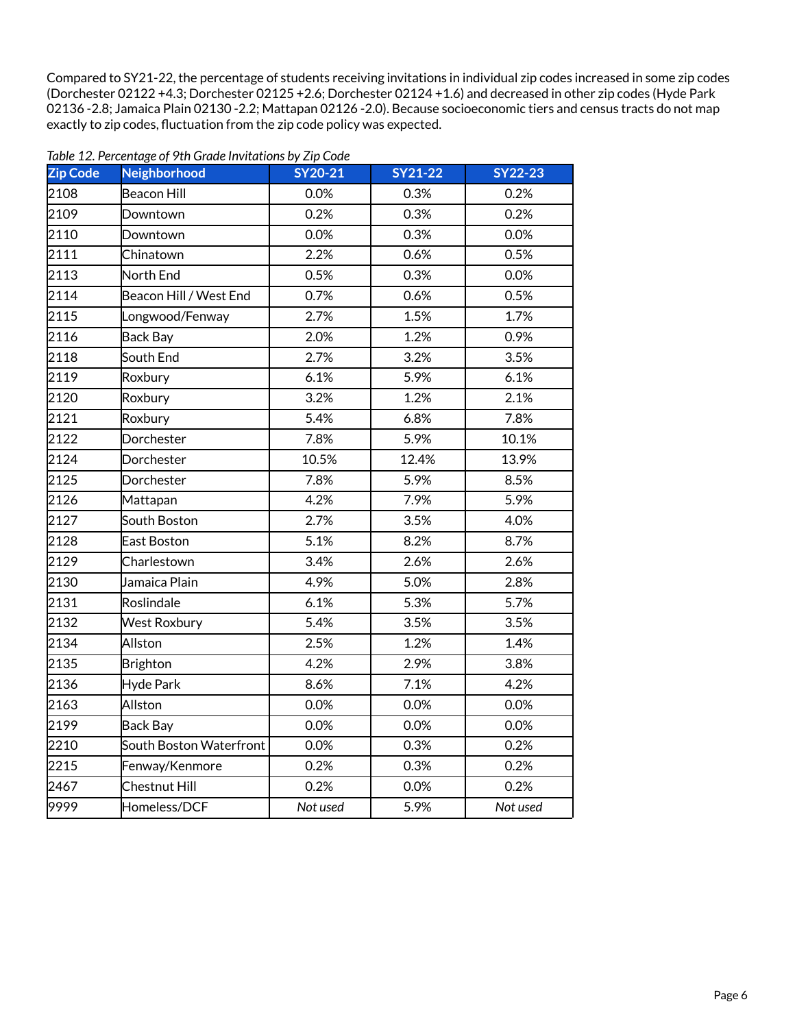Compared to SY21-22, the percentage of students receiving invitations in individual zip codes increased in some zip codes (Dorchester 02122 +4.3; Dorchester 02125 +2.6; Dorchester 02124 +1.6) and decreased in other zip codes (Hyde Park -2.8; Jamaica Plain 02130 -2.2; Mattapan 02126 -2.0). Because socioeconomic tiers and census tracts do not map exactly to zip codes, fluctuation from the zip code policy was expected.

| <b>Zip Code</b> | Neighborhood                         | <b>SY20-21</b> | <b>SY21-22</b> | <b>SY22-23</b> |  |
|-----------------|--------------------------------------|----------------|----------------|----------------|--|
| 2108            | Beacon Hill                          | 0.0%           | 0.3%           | 0.2%           |  |
| 2109            | Downtown                             | 0.2%           | 0.3%           | 0.2%           |  |
| 2110            | Downtown                             | 0.0%           | 0.3%           | 0.0%           |  |
| 2111            | Chinatown                            | 2.2%           | 0.6%           | 0.5%           |  |
| 2113            | North End                            | 0.5%           | 0.3%           | 0.0%           |  |
| 2114            | Beacon Hill / West End               | 0.7%           | 0.6%           | 0.5%           |  |
| 2115            | Longwood/Fenway                      | 2.7%           | 1.5%           | 1.7%           |  |
| 2116            | <b>Back Bay</b>                      | 2.0%           | 1.2%           | 0.9%           |  |
| 2118            | South End                            | 2.7%           | 3.2%           | 3.5%           |  |
| 2119            | Roxbury                              | 6.1%           | 5.9%           | 6.1%           |  |
| 2120            | Roxbury                              | 3.2%           | 1.2%           | 2.1%           |  |
| 2121            | Roxbury                              | 5.4%           | 6.8%           | 7.8%           |  |
| 2122            | Dorchester                           | 7.8%           | 5.9%           | 10.1%          |  |
| 2124            | Dorchester                           | 10.5%          | 12.4%          | 13.9%          |  |
| 2125            | Dorchester                           | 7.8%           | 5.9%           | 8.5%           |  |
| 2126            | Mattapan                             | 4.2%           | 7.9%           | 5.9%           |  |
| 2127            | South Boston                         | 2.7%           | 3.5%           | 4.0%           |  |
| 2128            | East Boston                          | 5.1%           | 8.2%           | 8.7%           |  |
| 2129            | Charlestown                          | 3.4%           | 2.6%           | 2.6%           |  |
| 2130            | $\overline{\mathsf{J}}$ amaica Plain | 4.9%           | 5.0%           | 2.8%           |  |
| 2131            | Roslindale                           | 6.1%           | 5.3%           | 5.7%           |  |
| 2132            | <b>West Roxbury</b>                  | 5.4%           | 3.5%           | 3.5%           |  |
| 2134            | Allston                              | 2.5%           | 1.2%           | 1.4%           |  |
| 2135            | <b>Brighton</b>                      | 4.2%           | 2.9%           | 3.8%           |  |
| 2136            | <b>Hyde Park</b>                     | 8.6%           | 7.1%           | 4.2%           |  |
| 2163            | Allston                              | 0.0%           | 0.0%<br>0.0%   |                |  |
| 2199            | <b>Back Bay</b>                      | 0.0%           | 0.0%           | 0.0%           |  |
| 2210            | South Boston Waterfront              | 0.0%           | 0.3%           | 0.2%           |  |
| 2215            | Fenway/Kenmore                       | 0.2%           | 0.3%           | 0.2%           |  |
| 2467            | Chestnut Hill                        | 0.2%           | 0.0%           | 0.2%           |  |
| 9999            | Homeless/DCF                         | Not used       | 5.9%           | Not used       |  |

*Table 12. Percentage of 9th Grade Invitations by Zip Code*